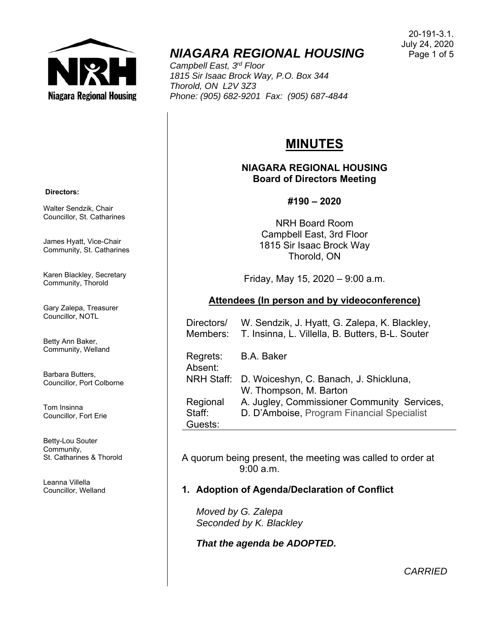

# *NIAGARA REGIONAL HOUSING*

*Campbell East, 3rd Floor 1815 Sir Isaac Brock Way, P.O. Box 344 Thorold, ON L2V 3Z3 Phone: (905) 682-9201 Fax: (905) 687-4844* 

#### 20-191-3.1. July 24, 2020 Page 1 of 5

# **MINUTES**

## **NIAGARA REGIONAL HOUSING Board of Directors Meeting**

## **#190 – 2020**

NRH Board Room Campbell East, 3rd Floor 1815 Sir Isaac Brock Way Thorold, ON

Friday, May 15, 2020 – 9:00 a.m.

## **Attendees (In person and by videoconference)**

| Directors/<br>Members: | W. Sendzik, J. Hyatt, G. Zalepa, K. Blackley,<br>T. Insinna, L. Villella, B. Butters, B-L. Souter |
|------------------------|---------------------------------------------------------------------------------------------------|
| Regrets:<br>Absent:    | <b>B.A. Baker</b>                                                                                 |
| NRH Staff:             | D. Woiceshyn, C. Banach, J. Shickluna,<br>W. Thompson, M. Barton                                  |
| Regional               | A. Jugley, Commissioner Community Services,                                                       |
| Staff:<br>Guests:      | D. D'Amboise, Program Financial Specialist                                                        |

A quorum being present, the meeting was called to order at 9:00 a.m.

# **1. Adoption of Agenda/Declaration of Conflict**

*Moved by G. Zalepa Seconded by K. Blackley* 

*That the agenda be ADOPTED.* 

 **Directors:** 

Walter Sendzik, Chair Councillor, St. Catharines

James Hyatt, Vice-Chair Community, St. Catharines

Karen Blackley, Secretary Community, Thorold

Gary Zalepa, Treasurer Councillor, NOTL

Betty Ann Baker, Community, Welland

Barbara Butters, Councillor, Port Colborne

Tom Insinna Councillor, Fort Erie

Betty-Lou Souter Community, St. Catharines & Thorold

Leanna Villella Councillor, Welland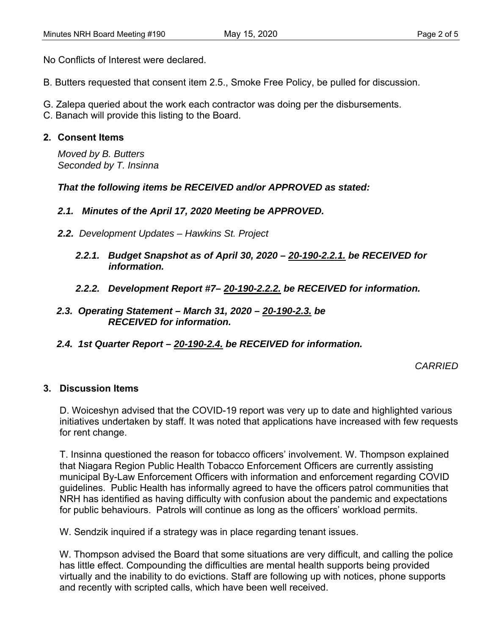No Conflicts of Interest were declared.

- B. Butters requested that consent item 2.5., Smoke Free Policy, be pulled for discussion.
- G. Zalepa queried about the work each contractor was doing per the disbursements.
- C. Banach will provide this listing to the Board.

## **2. Consent Items**

*Moved by B. Butters Seconded by T. Insinna* 

*That the following items be RECEIVED and/or APPROVED as stated:* 

## *2.1. Minutes of the April 17, 2020 Meeting be APPROVED.*

- *2.2. Development Updates Hawkins St. Project* 
	- *2.2.1. Budget Snapshot as of April 30, 2020 20-190-2.2.1. be RECEIVED for information.*
	- *2.2.2. Development Report #7– 20-190-2.2.2. be RECEIVED for information.*
- *2.3. Operating Statement March 31, 2020 20-190-2.3. be RECEIVED for information.*
- *2.4. 1st Quarter Report 20-190-2.4. be RECEIVED for information.*

*CARRIED* 

#### **3. Discussion Items**

D. Woiceshyn advised that the COVID-19 report was very up to date and highlighted various initiatives undertaken by staff. It was noted that applications have increased with few requests for rent change.

T. Insinna questioned the reason for tobacco officers' involvement. W. Thompson explained that Niagara Region Public Health Tobacco Enforcement Officers are currently assisting municipal By-Law Enforcement Officers with information and enforcement regarding COVID guidelines. Public Health has informally agreed to have the officers patrol communities that NRH has identified as having difficulty with confusion about the pandemic and expectations for public behaviours. Patrols will continue as long as the officers' workload permits.

W. Sendzik inquired if a strategy was in place regarding tenant issues.

W. Thompson advised the Board that some situations are very difficult, and calling the police has little effect. Compounding the difficulties are mental health supports being provided virtually and the inability to do evictions. Staff are following up with notices, phone supports and recently with scripted calls, which have been well received.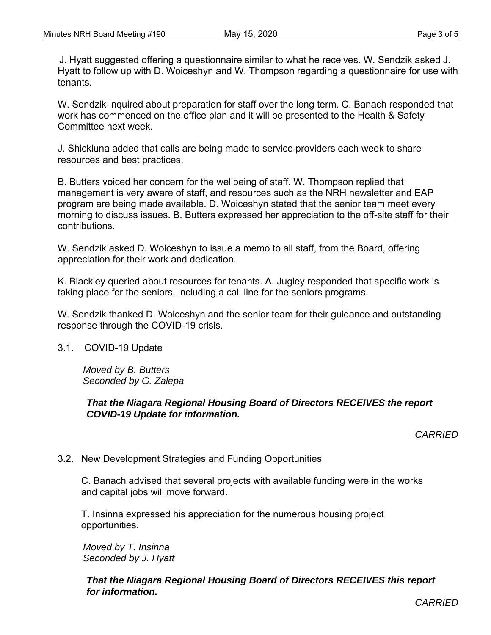J. Hyatt suggested offering a questionnaire similar to what he receives. W. Sendzik asked J. Hyatt to follow up with D. Woiceshyn and W. Thompson regarding a questionnaire for use with tenants.

W. Sendzik inquired about preparation for staff over the long term. C. Banach responded that work has commenced on the office plan and it will be presented to the Health & Safety Committee next week.

J. Shickluna added that calls are being made to service providers each week to share resources and best practices.

B. Butters voiced her concern for the wellbeing of staff. W. Thompson replied that management is very aware of staff, and resources such as the NRH newsletter and EAP program are being made available. D. Woiceshyn stated that the senior team meet every morning to discuss issues. B. Butters expressed her appreciation to the off-site staff for their contributions.

W. Sendzik asked D. Woiceshyn to issue a memo to all staff, from the Board, offering appreciation for their work and dedication.

K. Blackley queried about resources for tenants. A. Jugley responded that specific work is taking place for the seniors, including a call line for the seniors programs.

W. Sendzik thanked D. Woiceshyn and the senior team for their guidance and outstanding response through the COVID-19 crisis.

3.1. COVID-19 Update

*Moved by B. Butters Seconded by G. Zalepa* 

### *That the Niagara Regional Housing Board of Directors RECEIVES the report COVID-19 Update for information.*

*CARRIED* 

## 3.2. New Development Strategies and Funding Opportunities

 C. Banach advised that several projects with available funding were in the works and capital jobs will move forward.

 T. Insinna expressed his appreciation for the numerous housing project opportunities.

*Moved by T. Insinna Seconded by J. Hyatt* 

*That the Niagara Regional Housing Board of Directors RECEIVES this report for information.* 

*CARRIED*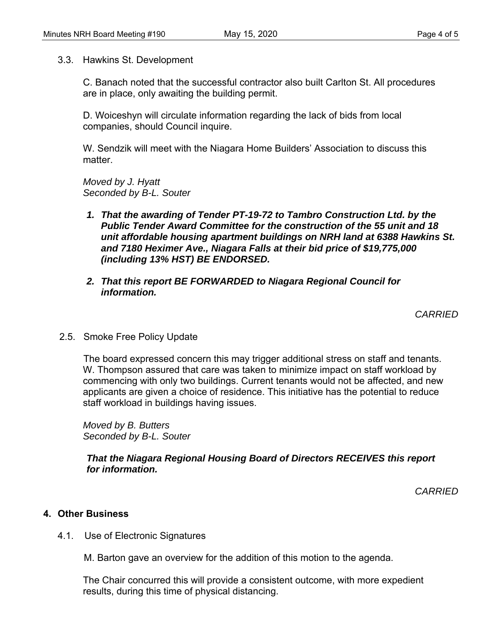3.3. Hawkins St. Development

C. Banach noted that the successful contractor also built Carlton St. All procedures are in place, only awaiting the building permit.

D. Woiceshyn will circulate information regarding the lack of bids from local companies, should Council inquire.

W. Sendzik will meet with the Niagara Home Builders' Association to discuss this matter.

*Moved by J. Hyatt Seconded by B-L. Souter* 

- *1. That the awarding of Tender PT-19-72 to Tambro Construction Ltd. by the Public Tender Award Committee for the construction of the 55 unit and 18 unit affordable housing apartment buildings on NRH land at 6388 Hawkins St. and 7180 Heximer Ave., Niagara Falls at their bid price of \$19,775,000 (including 13% HST) BE ENDORSED.*
- *2. That this report BE FORWARDED to Niagara Regional Council for information.*

*CARRIED* 

2.5. Smoke Free Policy Update

 The board expressed concern this may trigger additional stress on staff and tenants. W. Thompson assured that care was taken to minimize impact on staff workload by commencing with only two buildings. Current tenants would not be affected, and new applicants are given a choice of residence. This initiative has the potential to reduce staff workload in buildings having issues.

*Moved by B. Butters Seconded by B-L. Souter* 

*That the Niagara Regional Housing Board of Directors RECEIVES this report for information.* 

*CARRIED* 

## **4. Other Business**

4.1. Use of Electronic Signatures

M. Barton gave an overview for the addition of this motion to the agenda.

 The Chair concurred this will provide a consistent outcome, with more expedient results, during this time of physical distancing.